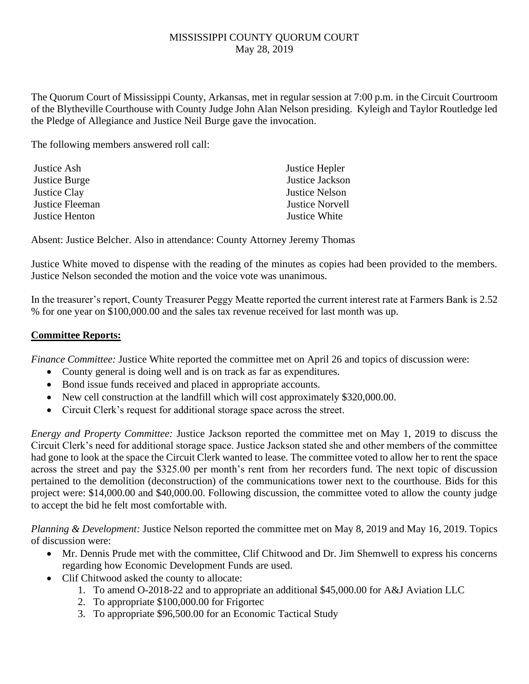## MISSISSIPPI COUNTY QUORUM COURT May 28, 2019

The Quorum Court of Mississippi County, Arkansas, met in regular session at 7:00 p.m. in the Circuit Courtroom of the Blytheville Courthouse with County Judge John Alan Nelson presiding. Kyleigh and Taylor Routledge led the Pledge of Allegiance and Justice Neil Burge gave the invocation.

The following members answered roll call:

| Justice Hepler         |
|------------------------|
| Justice Jackson        |
| <b>Justice Nelson</b>  |
| <b>Justice Norvell</b> |
| Justice White          |
|                        |

Absent: Justice Belcher. Also in attendance: County Attorney Jeremy Thomas

Justice White moved to dispense with the reading of the minutes as copies had been provided to the members. Justice Nelson seconded the motion and the voice vote was unanimous.

In the treasurer's report, County Treasurer Peggy Meatte reported the current interest rate at Farmers Bank is 2.52 % for one year on \$100,000.00 and the sales tax revenue received for last month was up.

## **Committee Reports:**

*Finance Committee:* Justice White reported the committee met on April 26 and topics of discussion were:

- County general is doing well and is on track as far as expenditures.
- Bond issue funds received and placed in appropriate accounts.
- New cell construction at the landfill which will cost approximately \$320,000.00.
- Circuit Clerk's request for additional storage space across the street.

*Energy and Property Committee:* Justice Jackson reported the committee met on May 1, 2019 to discuss the Circuit Clerk's need for additional storage space. Justice Jackson stated she and other members of the committee had gone to look at the space the Circuit Clerk wanted to lease. The committee voted to allow her to rent the space across the street and pay the \$325.00 per month's rent from her recorders fund. The next topic of discussion pertained to the demolition (deconstruction) of the communications tower next to the courthouse. Bids for this project were: \$14,000.00 and \$40,000.00. Following discussion, the committee voted to allow the county judge to accept the bid he felt most comfortable with.

*Planning & Development:* Justice Nelson reported the committee met on May 8, 2019 and May 16, 2019. Topics of discussion were:

- Mr. Dennis Prude met with the committee, Clif Chitwood and Dr. Jim Shemwell to express his concerns regarding how Economic Development Funds are used.
- Clif Chitwood asked the county to allocate:
	- 1. To amend O-2018-22 and to appropriate an additional \$45,000.00 for A&J Aviation LLC
	- 2. To appropriate \$100,000.00 for Frigortec
	- 3. To appropriate \$96,500.00 for an Economic Tactical Study